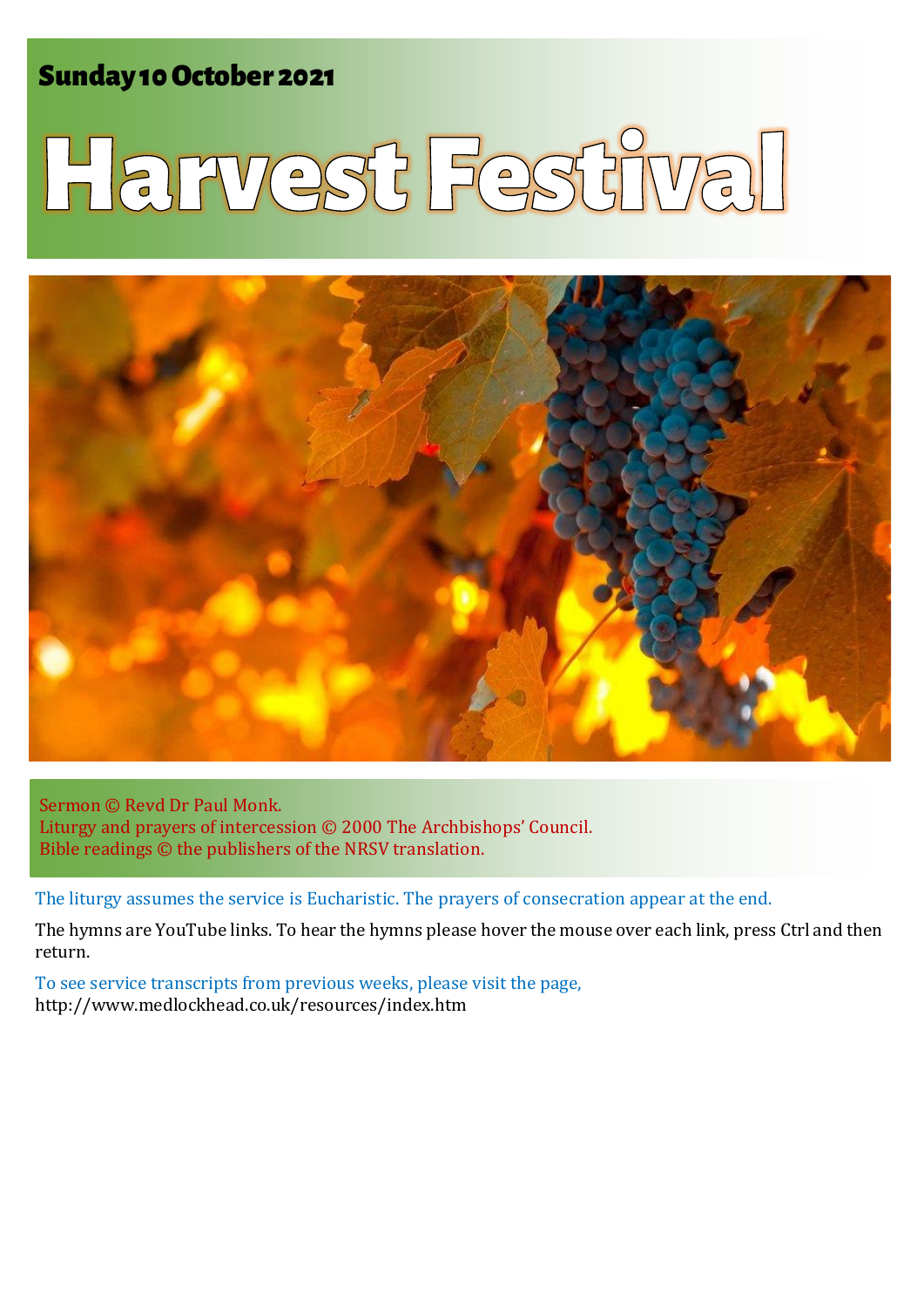# **Sunday 10 October 2021 1 Harvest Avenue Avenue Avenue Avenue Avenue Avenue Avenue Avenue Avenue Avenue Avenue**

# Harvest Festival



Sermon © Revd Dr Paul Monk. Liturgy and prayers of intercession © 2000 The Archbishops' Council. Bible readings © the publishers of the NRSV translation.

The liturgy assumes the service is Eucharistic. The prayers of consecration appear at the end.

The hymns are YouTube links. To hear the hymns please hover the mouse over each link, press Ctrl and then return.

To see service transcripts from previous weeks, please visit the page, <http://www.medlockhead.co.uk/resources/index.htm>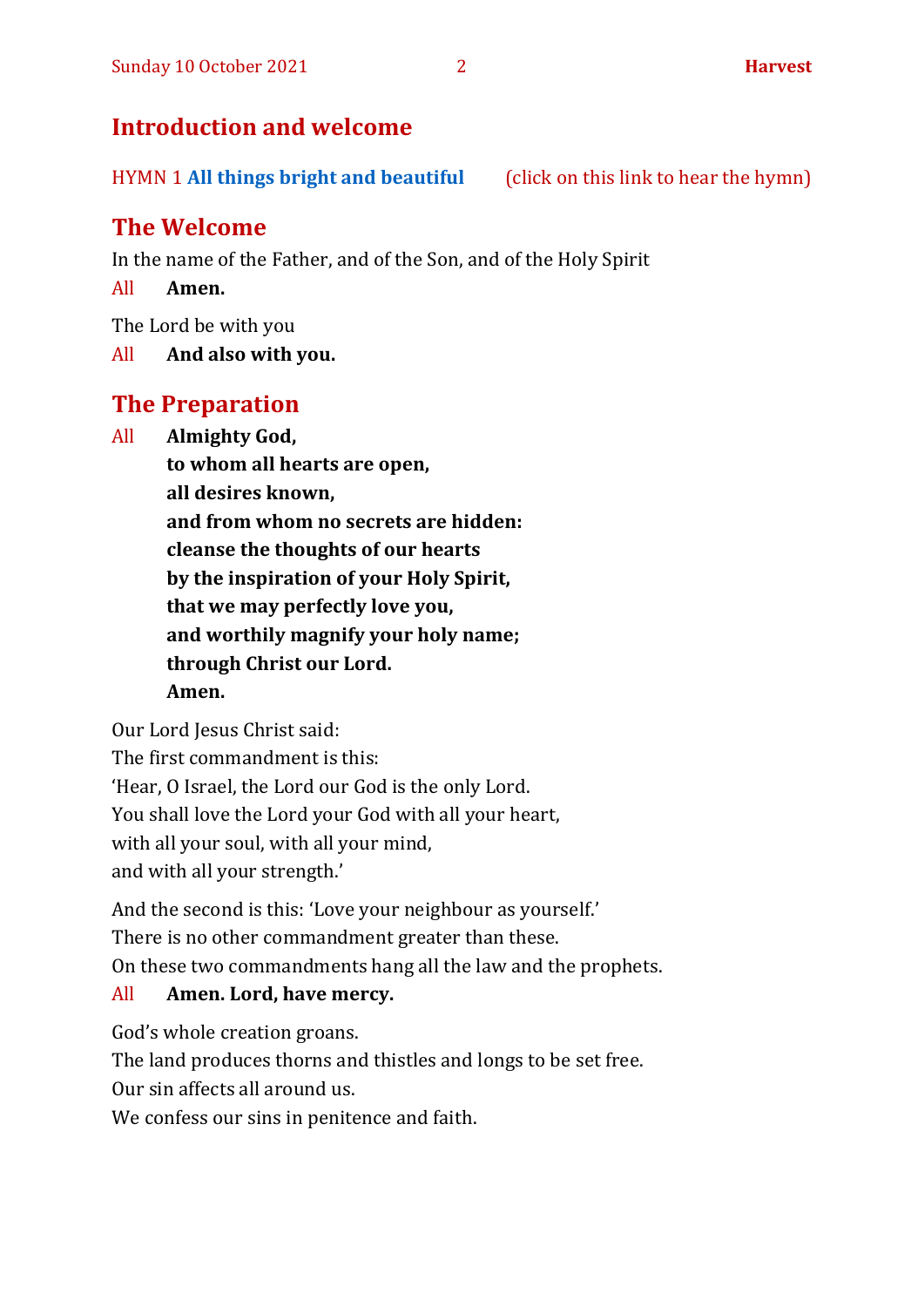#### **Introduction and welcome**

HYMN 1 **[All things bright and beautiful](https://www.youtube.com/watch?v=iUnQMvwaXlc)** (click on this link to hear the hymn)

# **The Welcome**

In the name of the Father, and of the Son, and of the Holy Spirit

All **Amen.**

The Lord be with you

All **And also with you.**

## **The Preparation**

All **Almighty God,**

**to whom all hearts are open, all desires known, and from whom no secrets are hidden: cleanse the thoughts of our hearts by the inspiration of your Holy Spirit, that we may perfectly love you, and worthily magnify your holy name; through Christ our Lord. Amen.**

Our Lord Jesus Christ said:

The first commandment is this: 'Hear, O Israel, the Lord our God is the only Lord. You shall love the Lord your God with all your heart, with all your soul, with all your mind, and with all your strength.'

And the second is this: 'Love your neighbour as yourself.' There is no other commandment greater than these. On these two commandments hang all the law and the prophets.

#### All **Amen. Lord, have mercy.**

God's whole creation groans.

The land produces thorns and thistles and longs to be set free.

Our sin affects all around us.

We confess our sins in penitence and faith.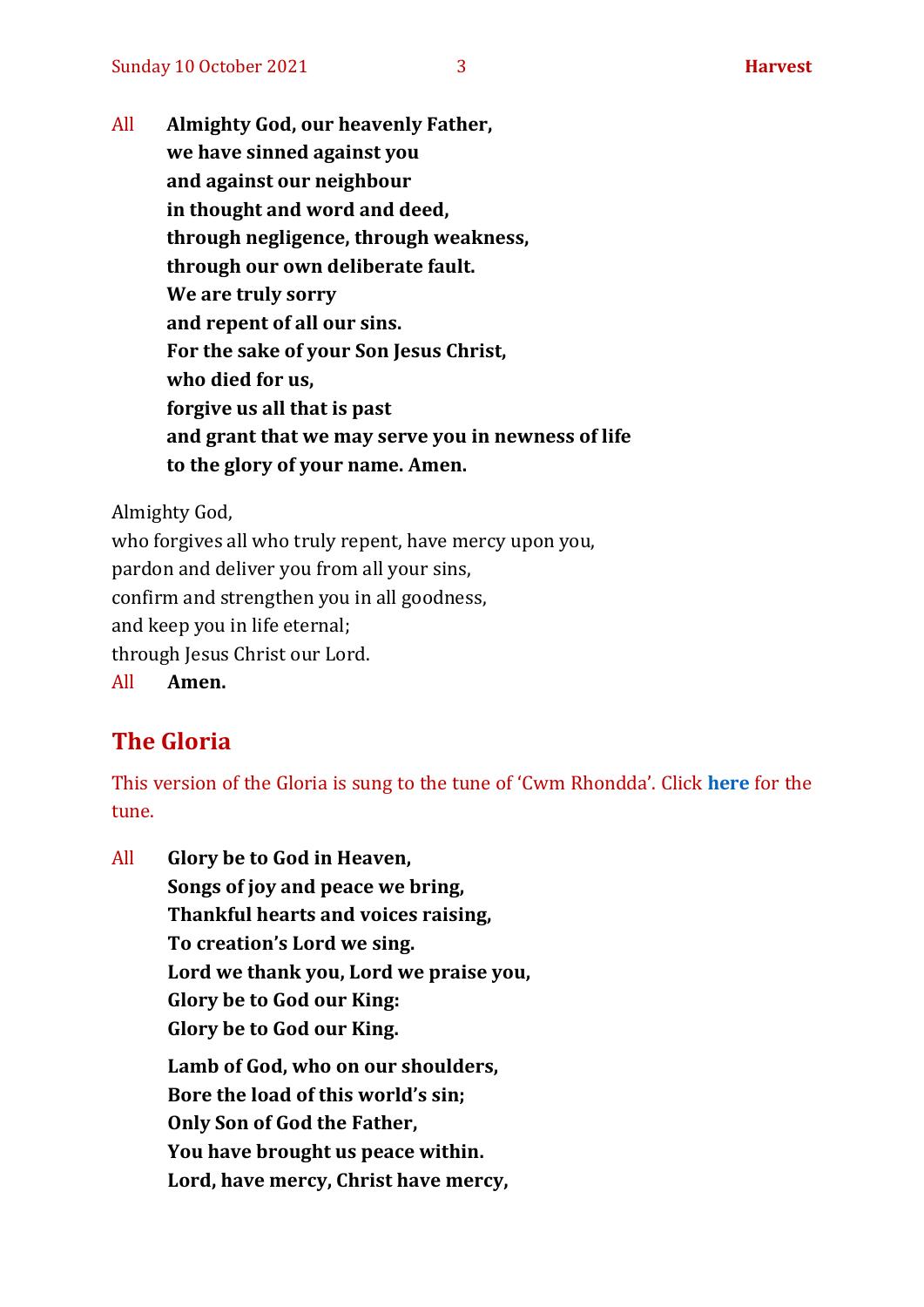All **Almighty God, our heavenly Father, we have sinned against you and against our neighbour in thought and word and deed, through negligence, through weakness, through our own deliberate fault. We are truly sorry and repent of all our sins. For the sake of your Son Jesus Christ, who died for us, forgive us all that is past and grant that we may serve you in newness of life to the glory of your name. Amen.**

Almighty God,

who forgives all who truly repent, have mercy upon you, pardon and deliver you from all your sins, confirm and strengthen you in all goodness, and keep you in life eternal; through Jesus Christ our Lord. All **Amen.**

# **The Gloria**

This version of the Gloria is sung to the tune of 'Cwm Rhondda'. Click **[here](about:blank)** for the tune.

All **Glory be to God in Heaven, Songs of joy and peace we bring, Thankful hearts and voices raising, To creation's Lord we sing. Lord we thank you, Lord we praise you, Glory be to God our King: Glory be to God our King. Lamb of God, who on our shoulders, Bore the load of this world's sin; Only Son of God the Father, You have brought us peace within. Lord, have mercy, Christ have mercy,**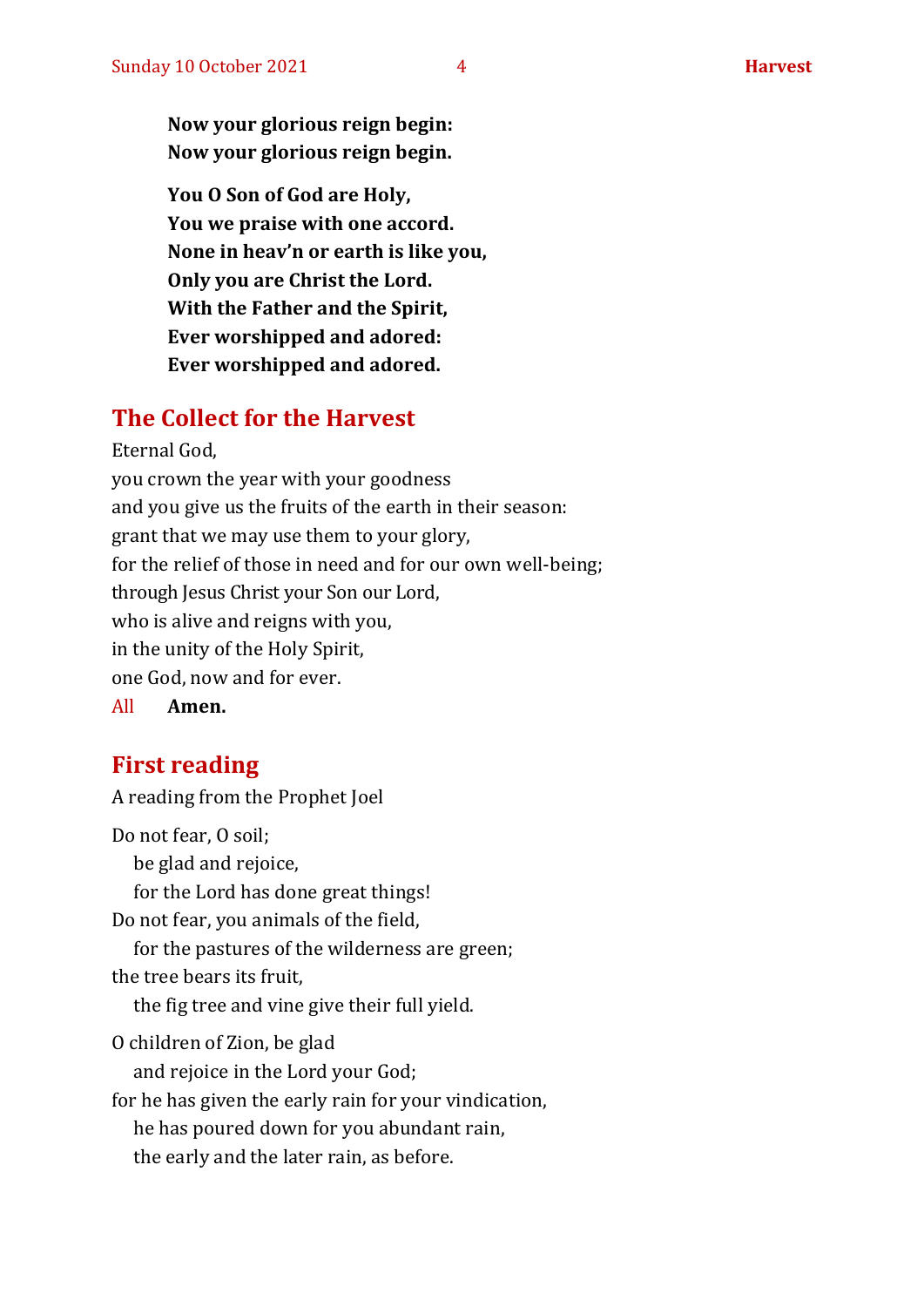**Now your glorious reign begin: Now your glorious reign begin.**

**You O Son of God are Holy, You we praise with one accord. None in heav'n or earth is like you, Only you are Christ the Lord. With the Father and the Spirit, Ever worshipped and adored: Ever worshipped and adored.**

#### **The Collect for the Harvest**

Eternal God, you crown the year with your goodness and you give us the fruits of the earth in their season: grant that we may use them to your glory, for the relief of those in need and for our own well-being; through Jesus Christ your Son our Lord, who is alive and reigns with you, in the unity of the Holy Spirit, one God, now and for ever. All **Amen.**

## **First reading**

A reading from the Prophet Joel Do not fear, O soil; be glad and rejoice, for the Lord has done great things! Do not fear, you animals of the field, for the pastures of the wilderness are green; the tree bears its fruit, the fig tree and vine give their full yield. O children of Zion, be glad and rejoice in the Lord your God; for he has given the early rain for your vindication, he has poured down for you abundant rain, the early and the later rain, as before.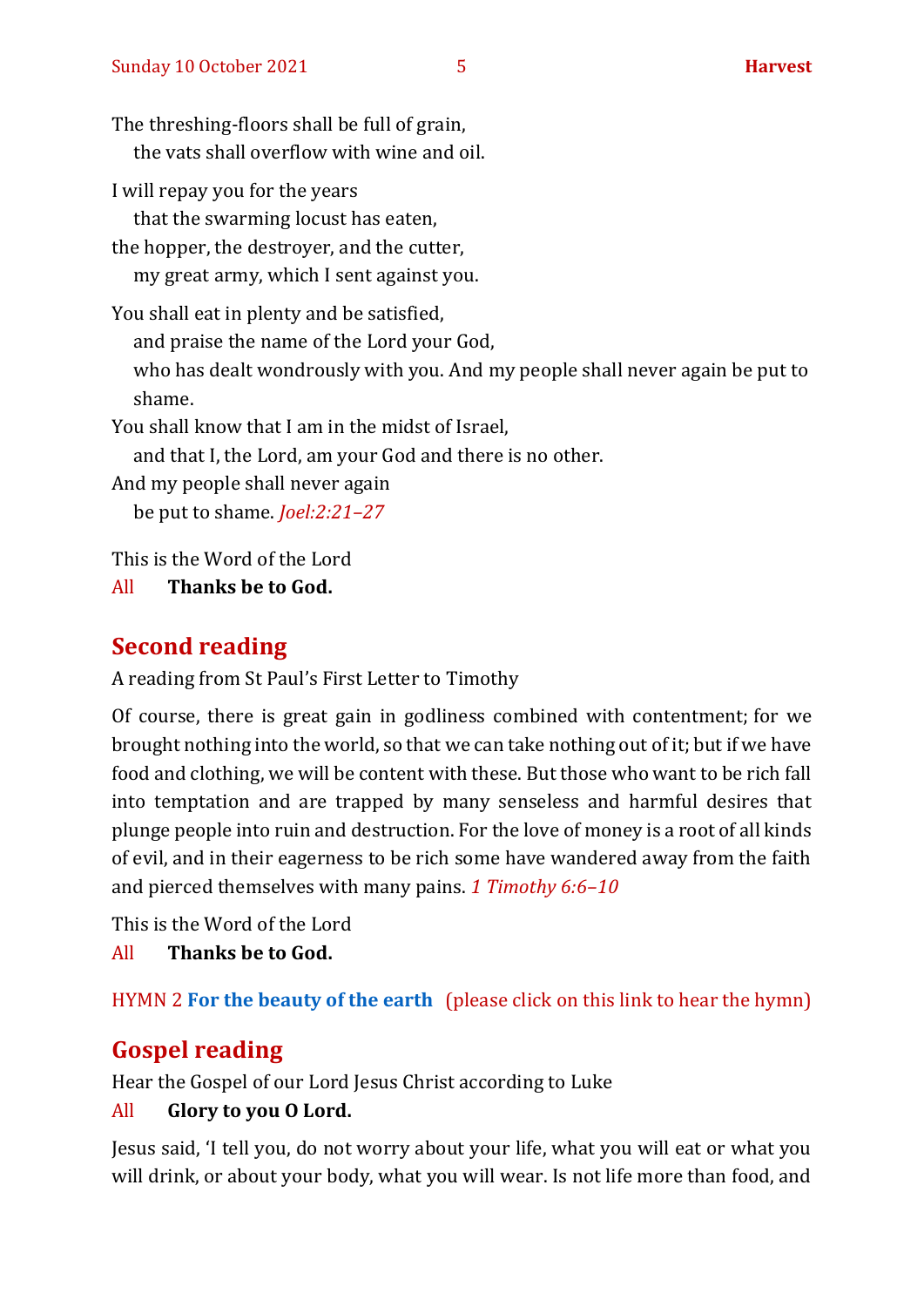The threshing-floors shall be full of grain, the vats shall overflow with wine and oil.

I will repay you for the years

that the swarming locust has eaten,

the hopper, the destroyer, and the cutter,

my great army, which I sent against you.

You shall eat in plenty and be satisfied, and praise the name of the Lord your God,

who has dealt wondrously with you. And my people shall never again be put to

shame.

You shall know that I am in the midst of Israel,

and that I, the Lord, am your God and there is no other.

And my people shall never again

be put to shame. *Joel:2:21–27*

This is the Word of the Lord

All **Thanks be to God.**

### **Second reading**

A reading from St Paul's First Letter to Timothy

Of course, there is great gain in godliness combined with contentment; for we brought nothing into the world, so that we can take nothing out of it; but if we have food and clothing, we will be content with these. But those who want to be rich fall into temptation and are trapped by many senseless and harmful desires that plunge people into ruin and destruction. For the love of money is a root of all kinds of evil, and in their eagerness to be rich some have wandered away from the faith and pierced themselves with many pains. *1 Timothy 6:6–10*

This is the Word of the Lord

All **Thanks be to God.**

HYMN 2 **[For the beauty of the earth](https://www.youtube.com/watch?v=MHIfRLNYUGw)** (please click on this link to hear the hymn)

# **Gospel reading**

Hear the Gospel of our Lord Jesus Christ according to Luke

#### All **Glory to you O Lord.**

Jesus said, 'I tell you, do not worry about your life, what you will eat or what you will drink, or about your body, what you will wear. Is not life more than food, and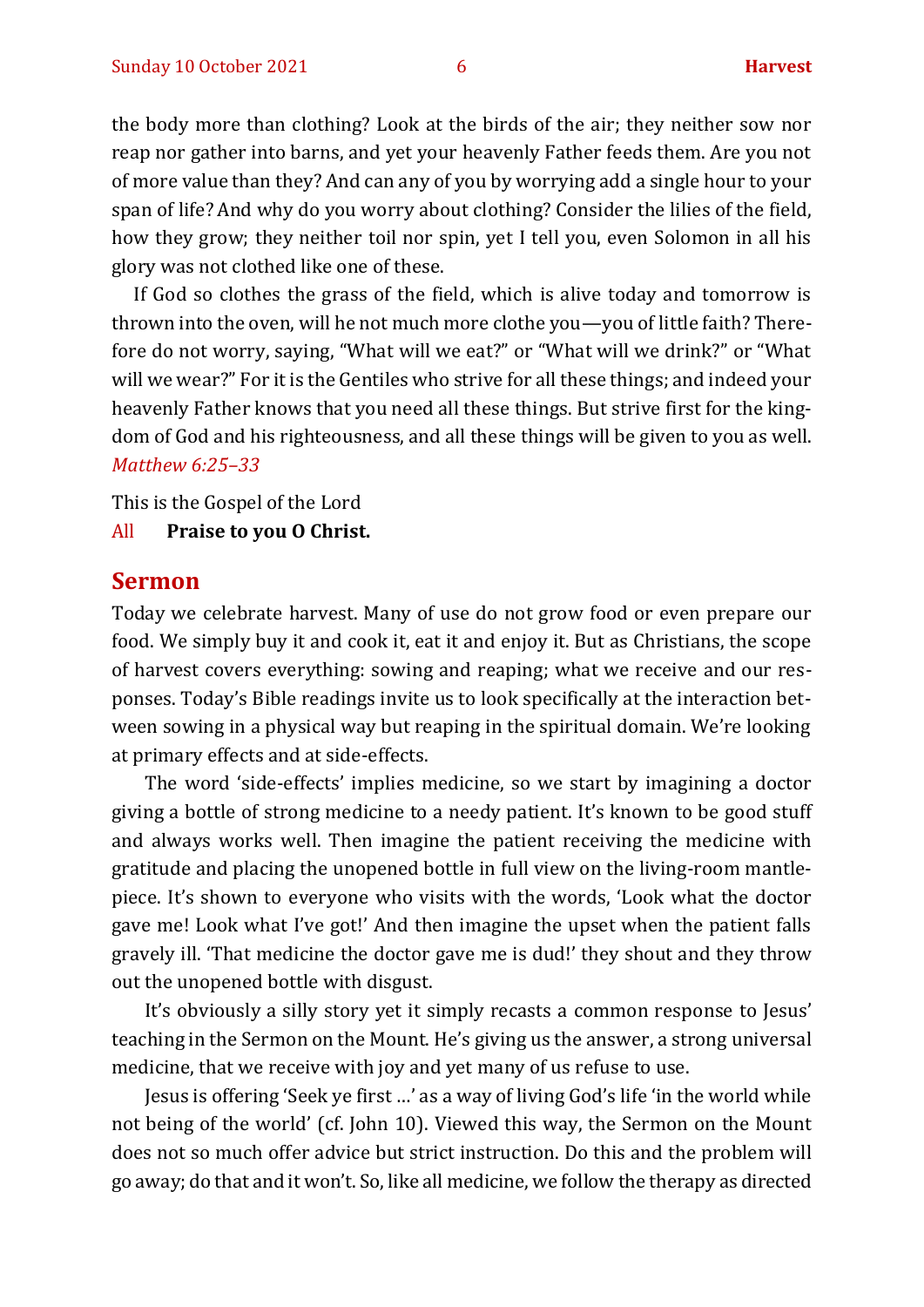the body more than clothing? Look at the birds of the air; they neither sow nor reap nor gather into barns, and yet your heavenly Father feeds them. Are you not of more value than they? And can any of you by worrying add a single hour to your span of life? And why do you worry about clothing? Consider the lilies of the field, how they grow; they neither toil nor spin, yet I tell you, even Solomon in all his glory was not clothed like one of these.

If God so clothes the grass of the field, which is alive today and tomorrow is thrown into the oven, will he not much more clothe you—you of little faith? Therefore do not worry, saying, "What will we eat?" or "What will we drink?" or "What will we wear?" For it is the Gentiles who strive for all these things; and indeed your heavenly Father knows that you need all these things. But strive first for the kingdom of God and his righteousness, and all these things will be given to you as well. *Matthew 6:25–33*

This is the Gospel of the Lord

All **Praise to you O Christ.** 

#### **Sermon**

Today we celebrate harvest. Many of use do not grow food or even prepare our food. We simply buy it and cook it, eat it and enjoy it. But as Christians, the scope of harvest covers everything: sowing and reaping; what we receive and our responses. Today's Bible readings invite us to look specifically at the interaction between sowing in a physical way but reaping in the spiritual domain. We're looking at primary effects and at side-effects.

The word 'side-effects' implies medicine, so we start by imagining a doctor giving a bottle of strong medicine to a needy patient. It's known to be good stuff and always works well. Then imagine the patient receiving the medicine with gratitude and placing the unopened bottle in full view on the living-room mantlepiece. It's shown to everyone who visits with the words, 'Look what the doctor gave me! Look what I've got!' And then imagine the upset when the patient falls gravely ill. 'That medicine the doctor gave me is dud!' they shout and they throw out the unopened bottle with disgust.

It's obviously a silly story yet it simply recasts a common response to Jesus' teaching in the Sermon on the Mount. He's giving us the answer, a strong universal medicine, that we receive with joy and yet many of us refuse to use.

Jesus is offering 'Seek ye first …' as a way of living God's life 'in the world while not being of the world' (cf. John 10). Viewed this way, the Sermon on the Mount does not so much offer advice but strict instruction. Do this and the problem will go away; do that and it won't. So, like all medicine, we follow the therapy as directed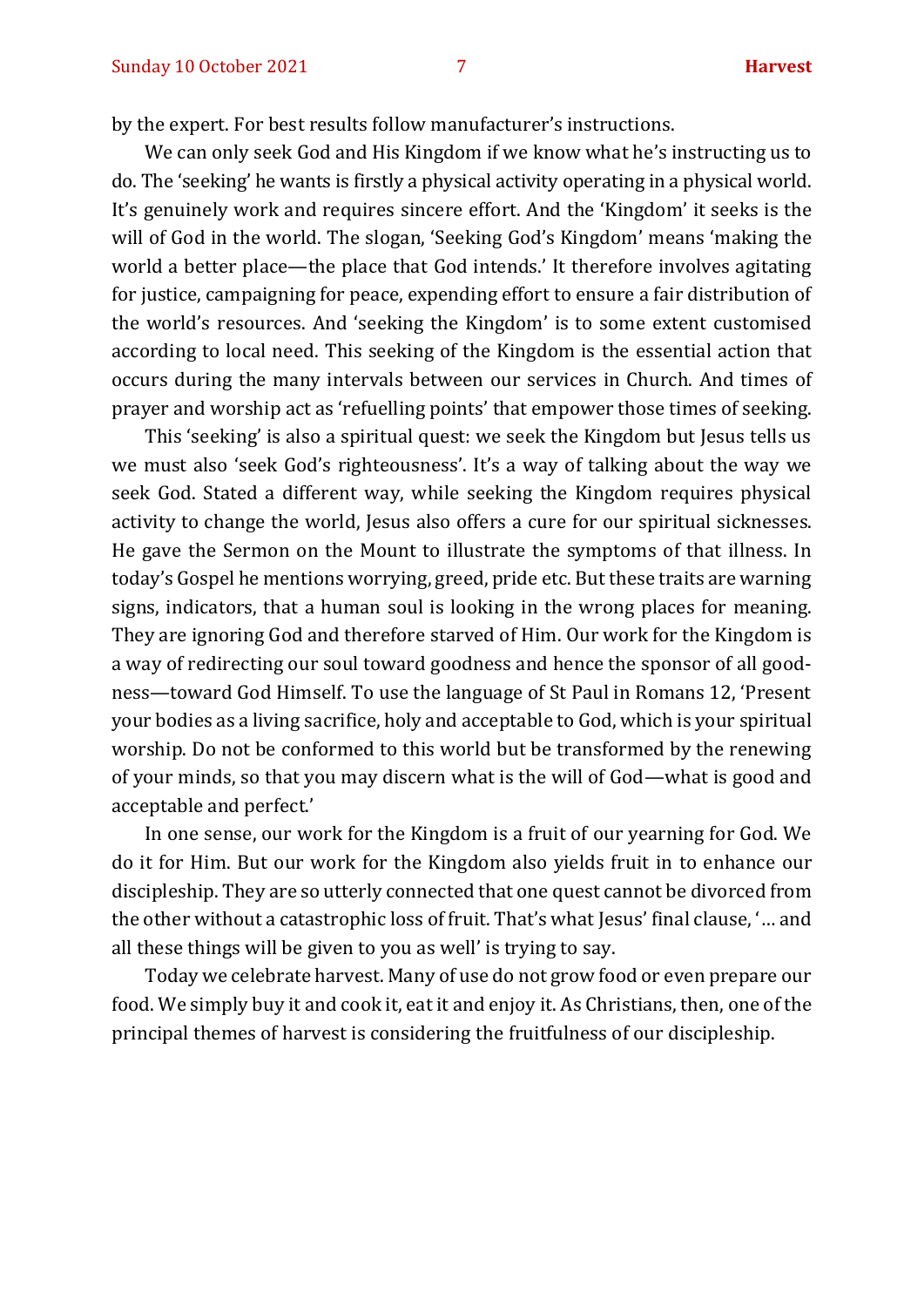by the expert. For best results follow manufacturer's instructions.

We can only seek God and His Kingdom if we know what he's instructing us to do. The 'seeking' he wants is firstly a physical activity operating in a physical world. It's genuinely work and requires sincere effort. And the 'Kingdom' it seeks is the will of God in the world. The slogan, 'Seeking God's Kingdom' means 'making the world a better place—the place that God intends.' It therefore involves agitating for justice, campaigning for peace, expending effort to ensure a fair distribution of the world's resources. And 'seeking the Kingdom' is to some extent customised according to local need. This seeking of the Kingdom is the essential action that occurs during the many intervals between our services in Church. And times of prayer and worship act as 'refuelling points' that empower those times of seeking.

This 'seeking' is also a spiritual quest: we seek the Kingdom but Jesus tells us we must also 'seek God's righteousness'. It's a way of talking about the way we seek God. Stated a different way, while seeking the Kingdom requires physical activity to change the world, Jesus also offers a cure for our spiritual sicknesses. He gave the Sermon on the Mount to illustrate the symptoms of that illness. In today's Gospel he mentions worrying, greed, pride etc. But these traits are warning signs, indicators, that a human soul is looking in the wrong places for meaning. They are ignoring God and therefore starved of Him. Our work for the Kingdom is a way of redirecting our soul toward goodness and hence the sponsor of all goodness—toward God Himself. To use the language of St Paul in Romans 12, 'Present your bodies as a living sacrifice, holy and acceptable to God, which is your spiritual worship. Do not be conformed to this world but be transformed by the renewing of your minds, so that you may discern what is the will of God—what is good and acceptable and perfect.'

In one sense, our work for the Kingdom is a fruit of our yearning for God. We do it for Him. But our work for the Kingdom also yields fruit in to enhance our discipleship. They are so utterly connected that one quest cannot be divorced from the other without a catastrophic loss of fruit. That's what Jesus' final clause, '… and all these things will be given to you as well' is trying to say.

Today we celebrate harvest. Many of use do not grow food or even prepare our food. We simply buy it and cook it, eat it and enjoy it. As Christians, then, one of the principal themes of harvest is considering the fruitfulness of our discipleship.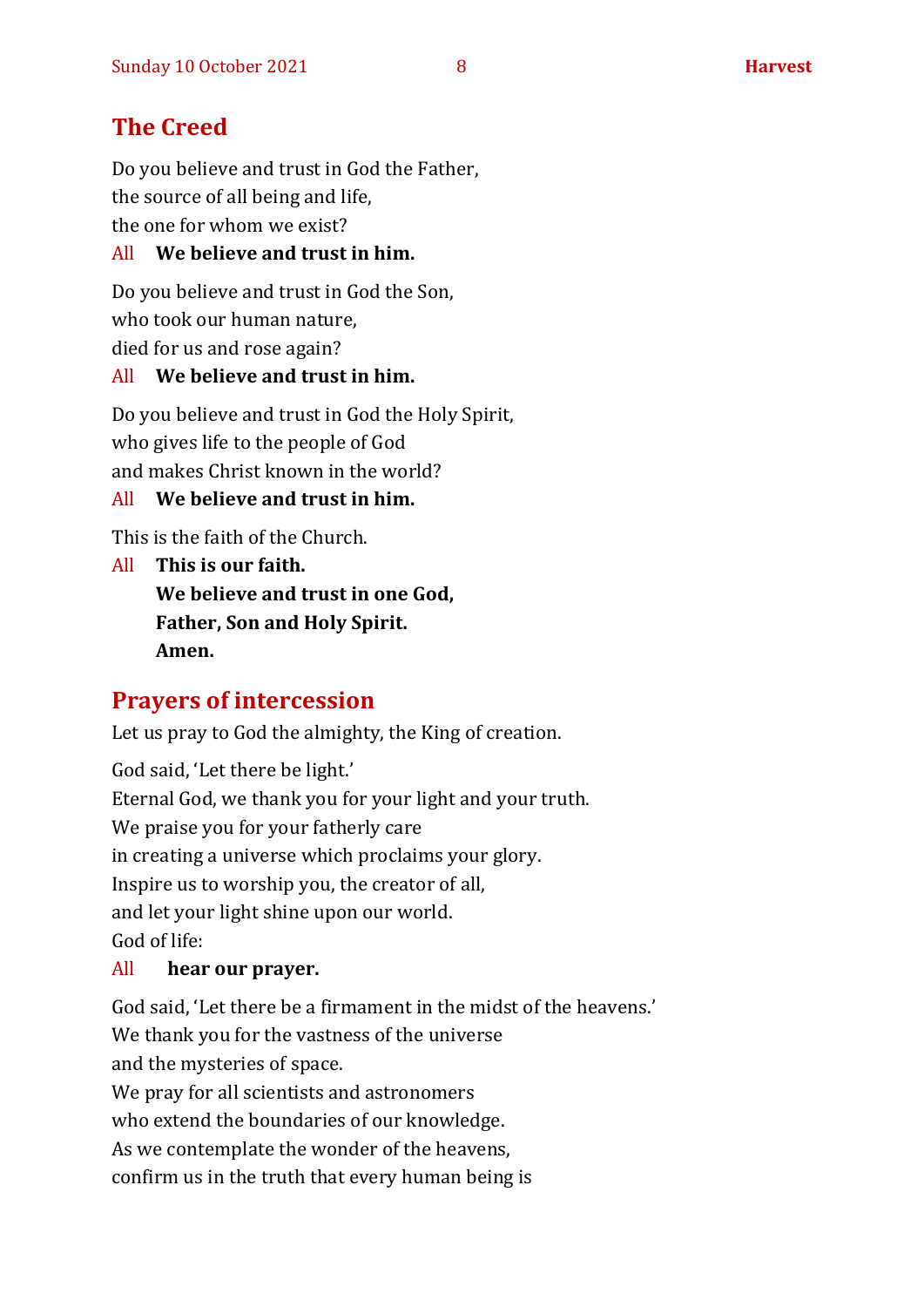# **The Creed**

Do you believe and trust in God the Father, the source of all being and life, the one for whom we exist?

#### All **We believe and trust in him.**

Do you believe and trust in God the Son, who took our human nature, died for us and rose again?

#### All **We believe and trust in him.**

Do you believe and trust in God the Holy Spirit, who gives life to the people of God and makes Christ known in the world?

#### All **We believe and trust in him.**

This is the faith of the Church.

All **This is our faith. We believe and trust in one God, Father, Son and Holy Spirit. Amen.**

#### **Prayers of intercession**

Let us pray to God the almighty, the King of creation.

God said, 'Let there be light.' Eternal God, we thank you for your light and your truth. We praise you for your fatherly care in creating a universe which proclaims your glory. Inspire us to worship you, the creator of all, and let your light shine upon our world. God of life:

#### All **hear our prayer.**

God said, 'Let there be a firmament in the midst of the heavens.' We thank you for the vastness of the universe

and the mysteries of space.

We pray for all scientists and astronomers

who extend the boundaries of our knowledge.

As we contemplate the wonder of the heavens,

confirm us in the truth that every human being is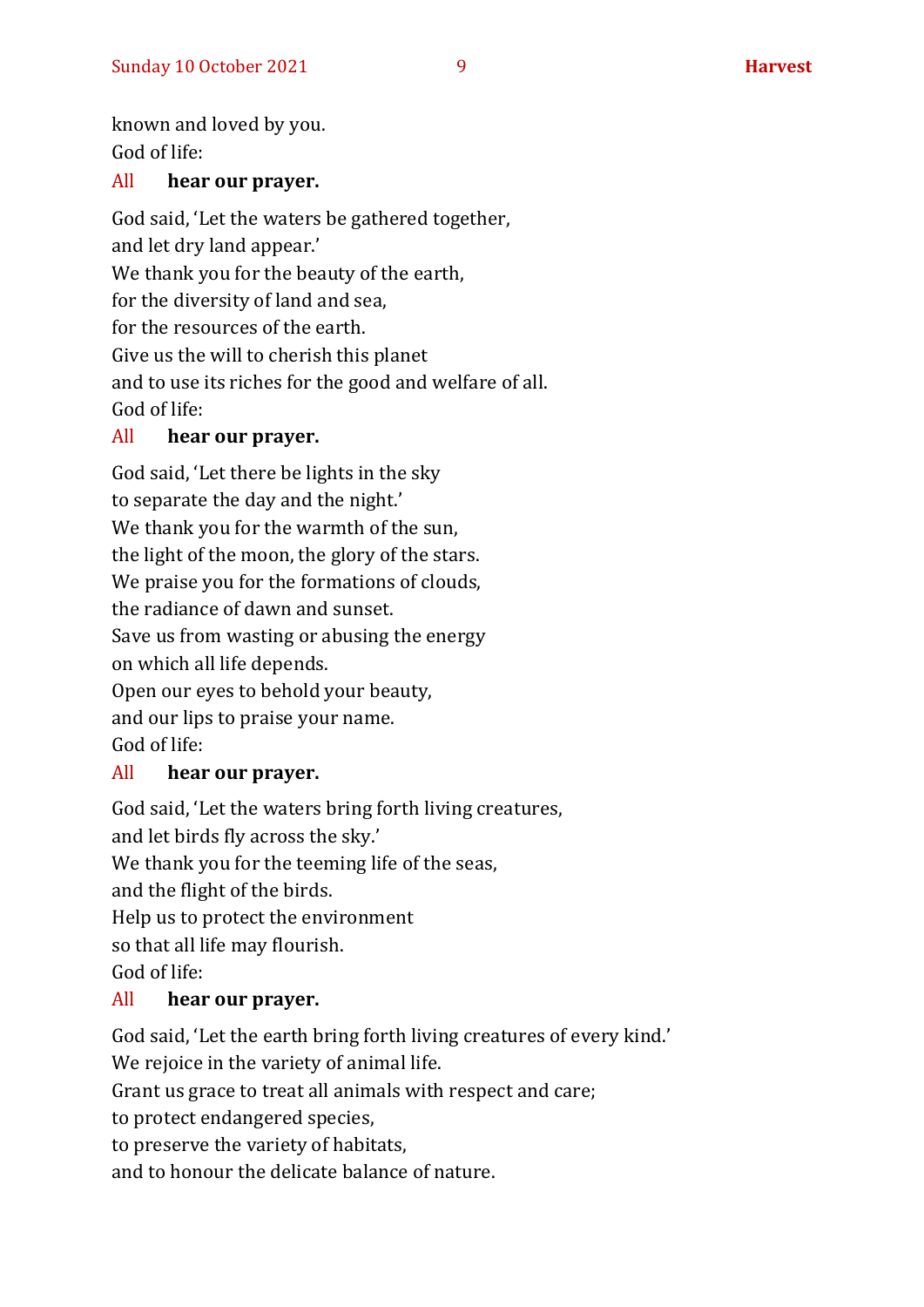known and loved by you. God of life:

#### All **hear our prayer.**

God said, 'Let the waters be gathered together, and let dry land appear.' We thank you for the beauty of the earth, for the diversity of land and sea, for the resources of the earth. Give us the will to cherish this planet and to use its riches for the good and welfare of all. God of life:

#### All **hear our prayer.**

God said, 'Let there be lights in the sky to separate the day and the night.' We thank you for the warmth of the sun, the light of the moon, the glory of the stars. We praise you for the formations of clouds, the radiance of dawn and sunset. Save us from wasting or abusing the energy on which all life depends. Open our eyes to behold your beauty, and our lips to praise your name. God of life:

#### All **hear our prayer.**

God said, 'Let the waters bring forth living creatures, and let birds fly across the sky.'

We thank you for the teeming life of the seas,

and the flight of the birds.

Help us to protect the environment

so that all life may flourish.

God of life:

#### All **hear our prayer.**

God said, 'Let the earth bring forth living creatures of every kind.'

We rejoice in the variety of animal life.

Grant us grace to treat all animals with respect and care;

to protect endangered species,

to preserve the variety of habitats,

and to honour the delicate balance of nature.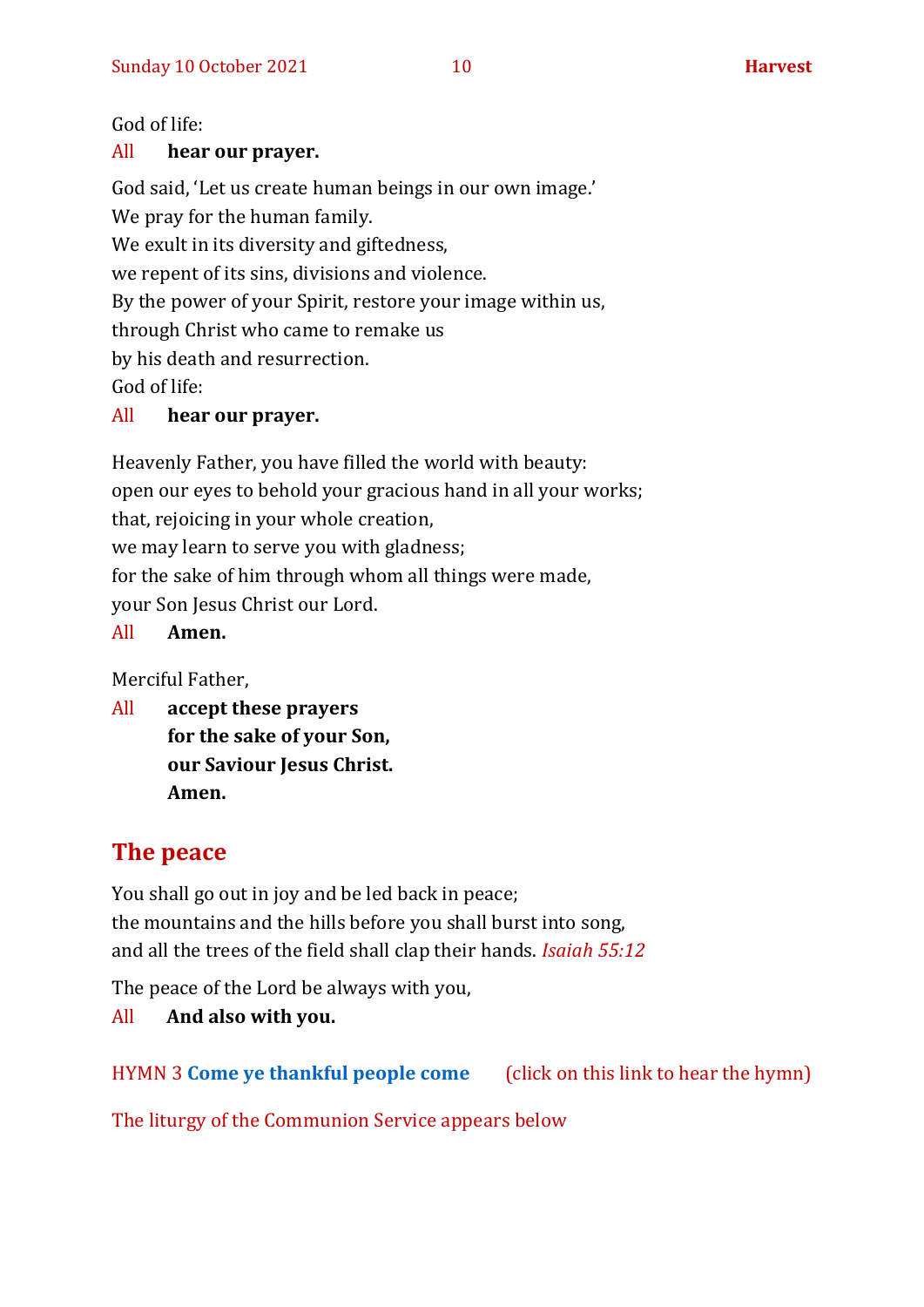#### God of life:

#### All **hear our prayer.**

God said, 'Let us create human beings in our own image.'

We pray for the human family.

We exult in its diversity and giftedness,

we repent of its sins, divisions and violence.

By the power of your Spirit, restore your image within us,

through Christ who came to remake us

by his death and resurrection.

God of life:

#### All **hear our prayer.**

Heavenly Father, you have filled the world with beauty: open our eyes to behold your gracious hand in all your works; that, rejoicing in your whole creation, we may learn to serve you with gladness; for the sake of him through whom all things were made, your Son Jesus Christ our Lord.

#### All **Amen.**

Merciful Father,

All **accept these prayers for the sake of your Son, our Saviour Jesus Christ. Amen.**

#### **The peace**

You shall go out in joy and be led back in peace; the mountains and the hills before you shall burst into song, and all the trees of the field shall clap their hands. *Isaiah 55:12*

The peace of the Lord be always with you,

All **And also with you.**

HYMN 3 **[Come ye thankful people come](https://www.youtube.com/watch?v=t3n7IUCdqAM&t=38s)** (click on this link to hear the hymn)

The liturgy of the Communion Service appears below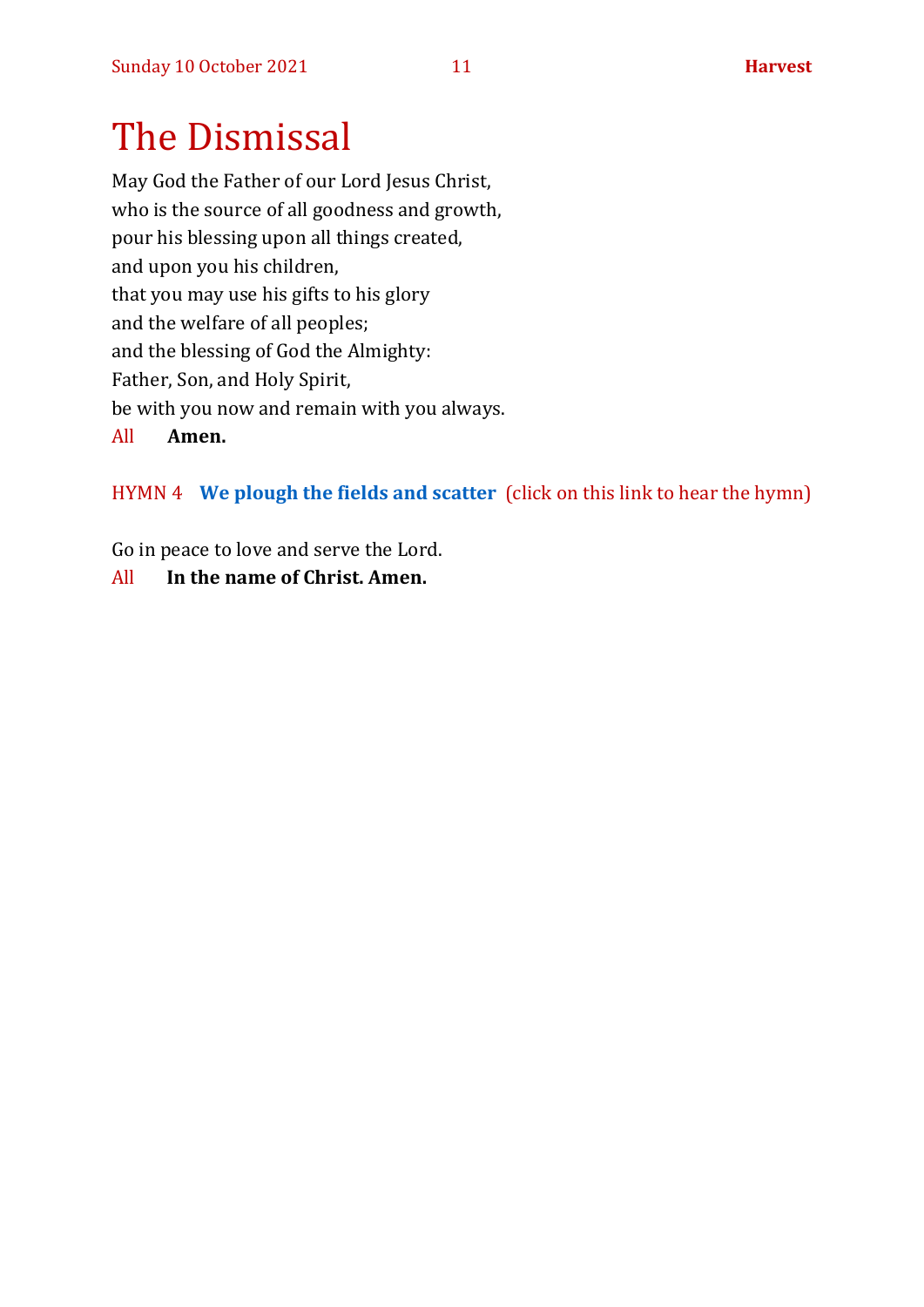# The Dismissal

May God the Father of our Lord Jesus Christ, who is the source of all goodness and growth, pour his blessing upon all things created, and upon you his children, that you may use his gifts to his glory and the welfare of all peoples; and the blessing of God the Almighty: Father, Son, and Holy Spirit, be with you now and remain with you always. All **Amen.**

HYMN 4 **[We plough the fields and scatter](https://www.youtube.com/watch?v=Vb1i_FpDRic)** (click on this link to hear the hymn)

Go in peace to love and serve the Lord.

All **In the name of Christ. Amen.**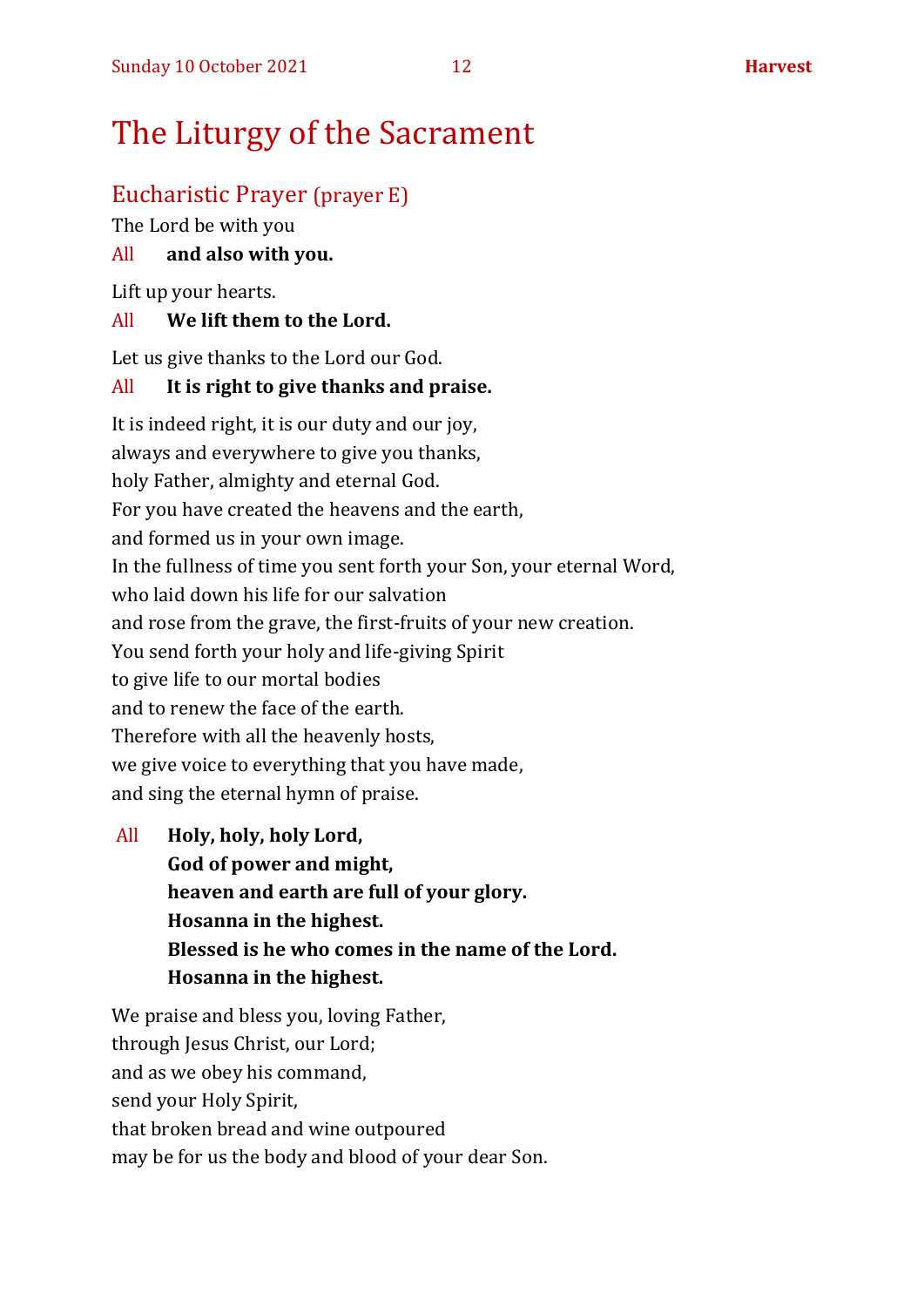# The Liturgy of the Sacrament

#### Eucharistic Prayer (prayer E)

The Lord be with you

#### All **and also with you.**

Lift up your hearts.

#### All **We lift them to the Lord.**

Let us give thanks to the Lord our God.

#### All **It is right to give thanks and praise.**

It is indeed right, it is our duty and our joy, always and everywhere to give you thanks, holy Father, almighty and eternal God. For you have created the heavens and the earth, and formed us in your own image. In the fullness of time you sent forth your Son, your eternal Word, who laid down his life for our salvation and rose from the grave, the first-fruits of your new creation. You send forth your holy and life-giving Spirit to give life to our mortal bodies and to renew the face of the earth. Therefore with all the heavenly hosts, we give voice to everything that you have made, and sing the eternal hymn of praise.

All **Holy, holy, holy Lord, God of power and might, heaven and earth are full of your glory. Hosanna in the highest. Blessed is he who comes in the name of the Lord. Hosanna in the highest.**

We praise and bless you, loving Father, through Jesus Christ, our Lord; and as we obey his command, send your Holy Spirit, that broken bread and wine outpoured may be for us the body and blood of your dear Son.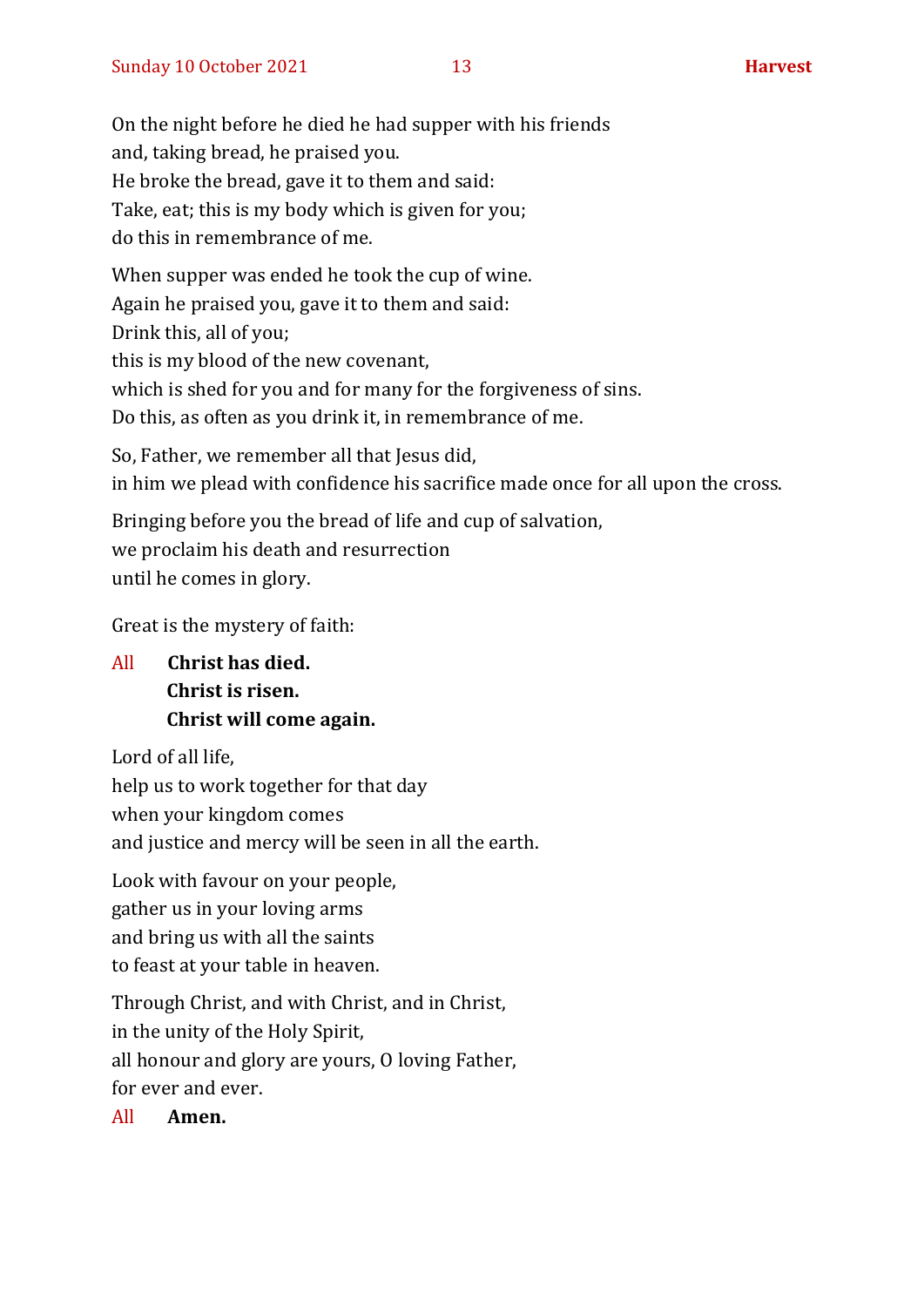On the night before he died he had supper with his friends and, taking bread, he praised you. He broke the bread, gave it to them and said: Take, eat; this is my body which is given for you; do this in remembrance of me.

When supper was ended he took the cup of wine. Again he praised you, gave it to them and said: Drink this, all of you; this is my blood of the new covenant, which is shed for you and for many for the forgiveness of sins. Do this, as often as you drink it, in remembrance of me.

So, Father, we remember all that Jesus did, in him we plead with confidence his sacrifice made once for all upon the cross.

Bringing before you the bread of life and cup of salvation, we proclaim his death and resurrection until he comes in glory.

Great is the mystery of faith:

All **Christ has died. Christ is risen. Christ will come again.**

Lord of all life, help us to work together for that day when your kingdom comes and justice and mercy will be seen in all the earth.

Look with favour on your people, gather us in your loving arms and bring us with all the saints to feast at your table in heaven.

Through Christ, and with Christ, and in Christ, in the unity of the Holy Spirit, all honour and glory are yours, O loving Father, for ever and ever.

All **Amen.**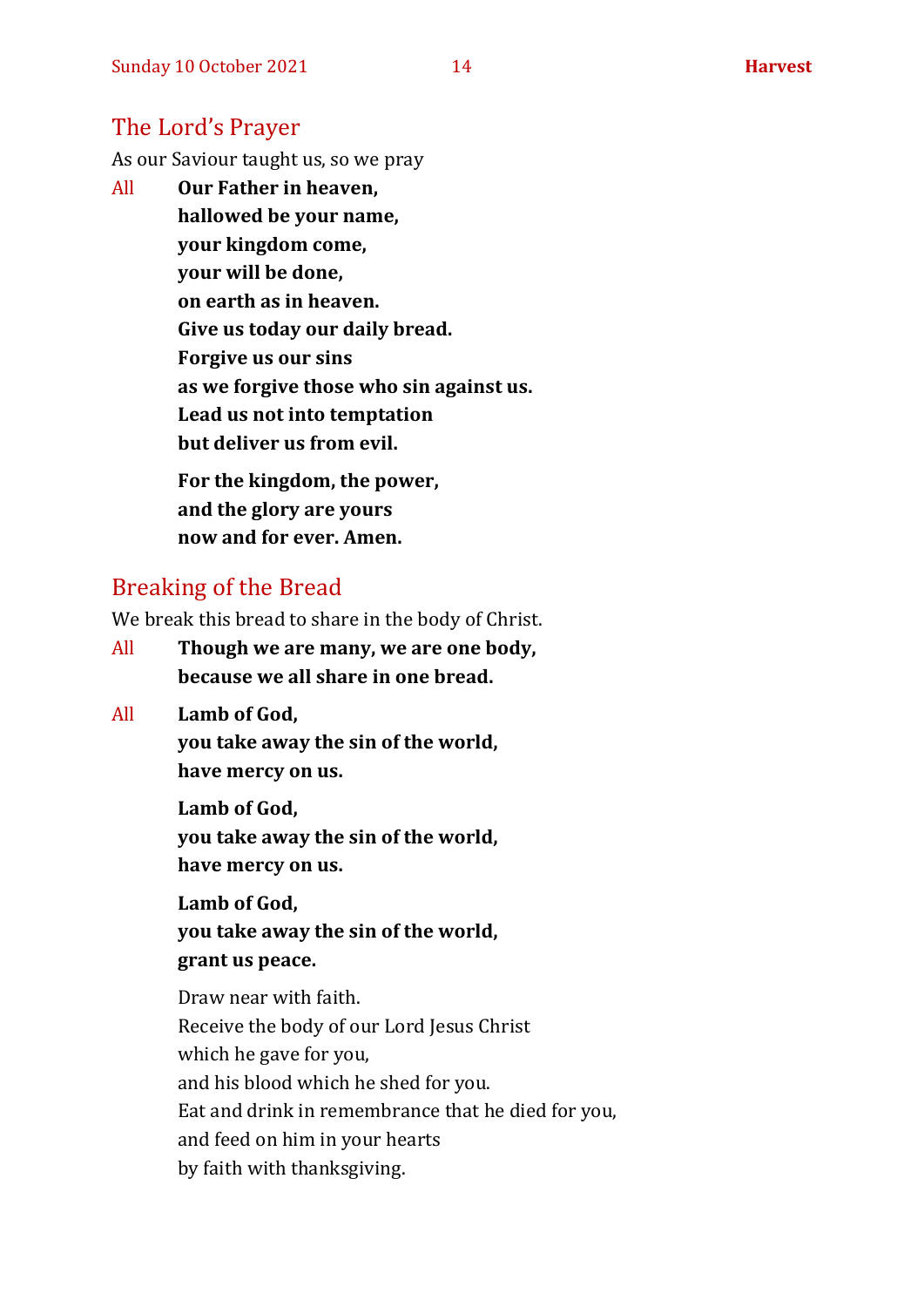#### The Lord's Prayer

As our Saviour taught us, so we pray

All **Our Father in heaven, hallowed be your name, your kingdom come, your will be done, on earth as in heaven. Give us today our daily bread. Forgive us our sins as we forgive those who sin against us. Lead us not into temptation but deliver us from evil. For the kingdom, the power,** 

**and the glory are yours now and for ever. Amen.**

#### Breaking of the Bread

We break this bread to share in the body of Christ.

- All **Though we are many, we are one body, because we all share in one bread.**
- All **Lamb of God,**

**you take away the sin of the world, have mercy on us.**

**Lamb of God, you take away the sin of the world, have mercy on us.**

**Lamb of God, you take away the sin of the world, grant us peace.**

Draw near with faith. Receive the body of our Lord Jesus Christ which he gave for you, and his blood which he shed for you. Eat and drink in remembrance that he died for you, and feed on him in your hearts by faith with thanksgiving.